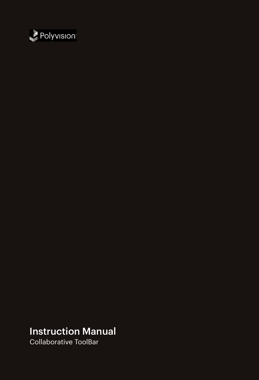

### Instruction Manual

Collaborative ToolBar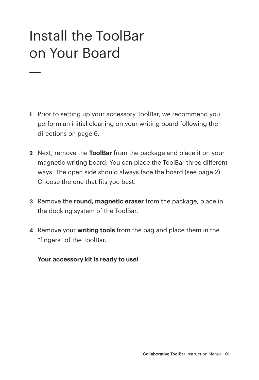## Install the ToolBar on Your Board

- **1** Prior to setting up your accessory ToolBar, we recommend you perform an initial cleaning on your writing board following the directions on page 6.
- **2** Next, remove the **ToolBar** from the package and place it on your magnetic writing board. You can place the ToolBar three different ways. The open side should always face the board (see page 2). Choose the one that fits you best!
- **3** Remove the **round, magnetic eraser** from the package, place in the docking system of the ToolBar.
- **4** Remove your **writing tools** from the bag and place them in the "fingers" of the ToolBar.

#### **Your accessory kit is ready to use!**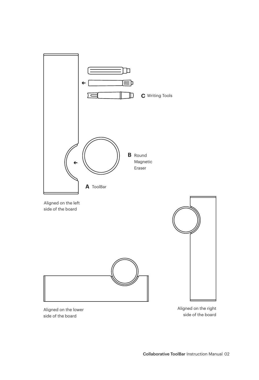

Aligned on the lower side of the board

Aligned on the right side of the board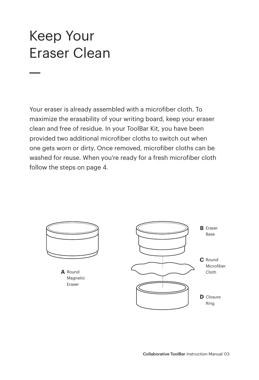### Keep Your Eraser Clean

Your eraser is already assembled with a microfiber cloth. To maximize the erasability of your writing board, keep your eraser clean and free of residue. In your ToolBar Kit, you have been provided two additional microfiber cloths to switch out when one gets worn or dirty. Once removed, microfiber cloths can be washed for reuse. When you're ready for a fresh microfiber cloth follow the steps on page 4.

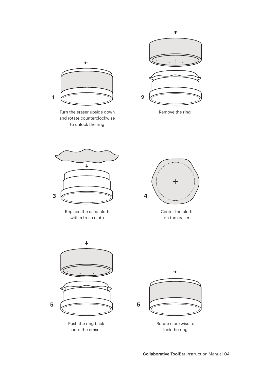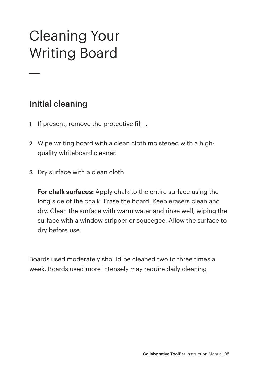# Cleaning Your Writing Board

### Initial cleaning

- **1** If present, remove the protective film.
- **2** Wipe writing board with a clean cloth moistened with a highquality whiteboard cleaner.
- **3** Dry surface with a clean cloth.

**For chalk surfaces:** Apply chalk to the entire surface using the long side of the chalk. Erase the board. Keep erasers clean and dry. Clean the surface with warm water and rinse well, wiping the surface with a window stripper or squeegee. Allow the surface to dry before use.

Boards used moderately should be cleaned two to three times a week. Boards used more intensely may require daily cleaning.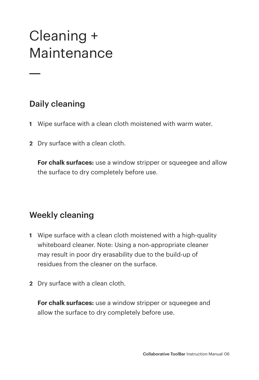## Cleaning + Maintenance

### Daily cleaning

- **1** Wipe surface with a clean cloth moistened with warm water.
- **2** Dry surface with a clean cloth.

**For chalk surfaces:** use a window stripper or squeegee and allow the surface to dry completely before use.

### Weekly cleaning

- **1** Wipe surface with a clean cloth moistened with a high-quality whiteboard cleaner. Note: Using a non-appropriate cleaner may result in poor dry erasability due to the build-up of residues from the cleaner on the surface.
- **2** Dry surface with a clean cloth.

**For chalk surfaces:** use a window stripper or squeegee and allow the surface to dry completely before use.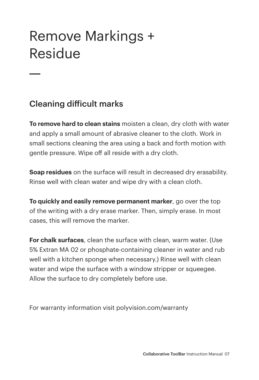### Remove Markings + Residue

### Cleaning difficult marks

**To remove hard to clean stains** moisten a clean, dry cloth with water and apply a small amount of abrasive cleaner to the cloth. Work in small sections cleaning the area using a back and forth motion with gentle pressure. Wipe off all reside with a dry cloth.

**Soap residues** on the surface will result in decreased dry erasability. Rinse well with clean water and wipe dry with a clean cloth.

**To quickly and easily remove permanent marker**, go over the top of the writing with a dry erase marker. Then, simply erase. In most cases, this will remove the marker.

**For chalk surfaces**, clean the surface with clean, warm water. (Use 5% Extran MA 02 or phosphate-containing cleaner in water and rub well with a kitchen sponge when necessary.) Rinse well with clean water and wipe the surface with a window stripper or squeegee. Allow the surface to dry completely before use.

For warranty information visit polyvision.com/warranty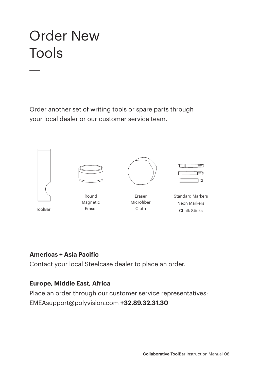## Order New Tools

Order another set of writing tools or spare parts through your local dealer or our customer service team.



#### **Americas + Asia Pacific**

Contact your local Steelcase dealer to place an order.

#### **Europe, Middle East, Africa**

Place an order through our customer service representatives: EMEAsupport@polyvision.com **+32.89.32.31.30**